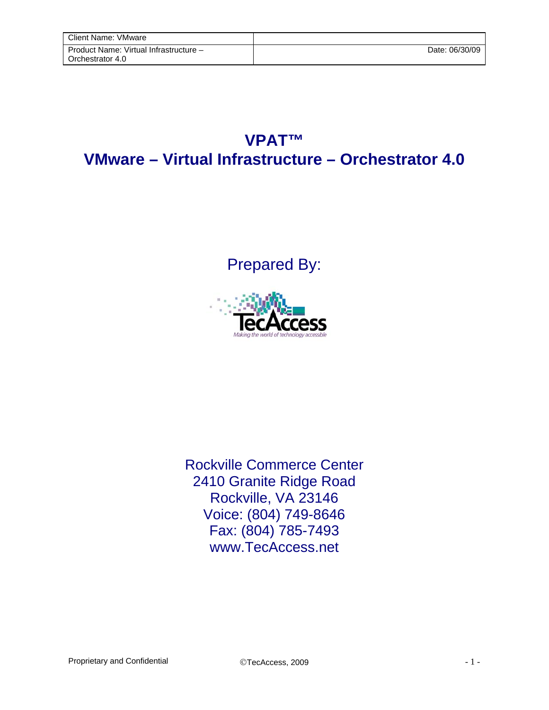## **VPAT™ VMware – Virtual Infrastructure – Orchestrator 4.0**

Prepared By:



Rockville Commerce Center 2410 Granite Ridge Road Rockville, VA 23146 Voice: (804) 749-8646 Fax: (804) 785-7493 www.TecAccess.net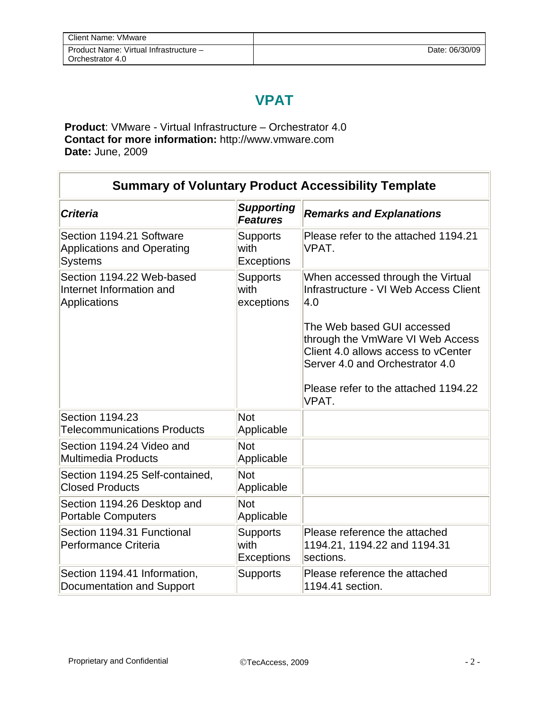## **VPAT**

**Product**: VMware - Virtual Infrastructure – Orchestrator 4.0 **Contact for more information:** http://www.vmware.com **Date:** June, 2009

F

| <b>Summary of Voluntary Product Accessibility Template</b>                      |                                              |                                                                                                                                          |
|---------------------------------------------------------------------------------|----------------------------------------------|------------------------------------------------------------------------------------------------------------------------------------------|
| <b>Criteria</b>                                                                 | <b>Supporting</b><br><b>Features</b>         | <b>Remarks and Explanations</b>                                                                                                          |
| Section 1194.21 Software<br><b>Applications and Operating</b><br><b>Systems</b> | <b>Supports</b><br>with<br><b>Exceptions</b> | Please refer to the attached 1194.21<br>VPAT.                                                                                            |
| Section 1194.22 Web-based<br>Internet Information and<br>Applications           | <b>Supports</b><br>with<br>exceptions        | When accessed through the Virtual<br>Infrastructure - VI Web Access Client<br>4.0                                                        |
|                                                                                 |                                              | The Web based GUI accessed<br>through the VmWare VI Web Access<br>Client 4.0 allows access to vCenter<br>Server 4.0 and Orchestrator 4.0 |
|                                                                                 |                                              | Please refer to the attached 1194.22<br>VPAT.                                                                                            |
| Section 1194.23<br><b>Telecommunications Products</b>                           | Not<br>Applicable                            |                                                                                                                                          |
| Section 1194.24 Video and<br><b>Multimedia Products</b>                         | <b>Not</b><br>Applicable                     |                                                                                                                                          |
| Section 1194.25 Self-contained,<br><b>Closed Products</b>                       | <b>Not</b><br>Applicable                     |                                                                                                                                          |
| Section 1194.26 Desktop and<br><b>Portable Computers</b>                        | <b>Not</b><br>Applicable                     |                                                                                                                                          |
| Section 1194.31 Functional<br>Performance Criteria                              | <b>Supports</b><br>with<br><b>Exceptions</b> | Please reference the attached<br>1194.21, 1194.22 and 1194.31<br>sections.                                                               |
| Section 1194.41 Information,<br>Documentation and Support                       | <b>Supports</b>                              | Please reference the attached<br>1194.41 section.                                                                                        |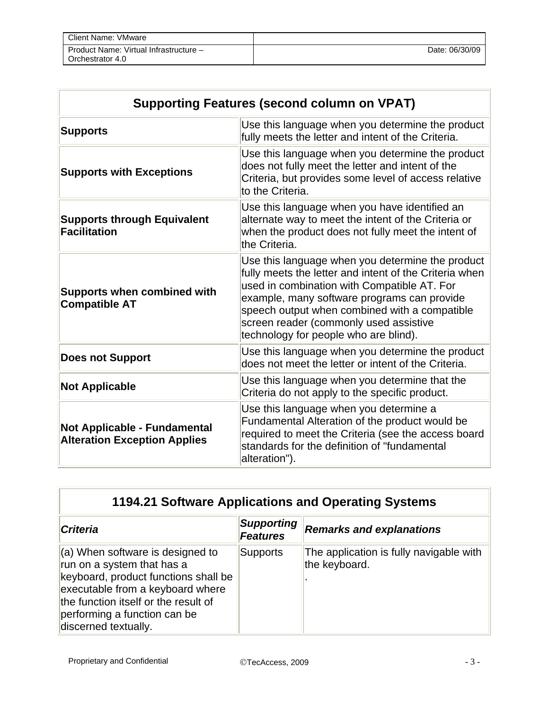| Client Name: VMware                                        |                |
|------------------------------------------------------------|----------------|
| Product Name: Virtual Infrastructure -<br>Orchestrator 4.0 | Date: 06/30/09 |

| <b>Supporting Features (second column on VPAT)</b>                         |                                                                                                                                                                                                                                                                                                                                              |  |
|----------------------------------------------------------------------------|----------------------------------------------------------------------------------------------------------------------------------------------------------------------------------------------------------------------------------------------------------------------------------------------------------------------------------------------|--|
| <b>Supports</b>                                                            | Use this language when you determine the product<br>fully meets the letter and intent of the Criteria.                                                                                                                                                                                                                                       |  |
| <b>Supports with Exceptions</b>                                            | Use this language when you determine the product<br>does not fully meet the letter and intent of the<br>Criteria, but provides some level of access relative<br>to the Criteria.                                                                                                                                                             |  |
| <b>Supports through Equivalent</b><br><b>Facilitation</b>                  | Use this language when you have identified an<br>alternate way to meet the intent of the Criteria or<br>when the product does not fully meet the intent of<br>the Criteria.                                                                                                                                                                  |  |
| <b>Supports when combined with</b><br><b>Compatible AT</b>                 | Use this language when you determine the product<br>fully meets the letter and intent of the Criteria when<br>used in combination with Compatible AT. For<br>example, many software programs can provide<br>speech output when combined with a compatible<br>screen reader (commonly used assistive<br>technology for people who are blind). |  |
| <b>Does not Support</b>                                                    | Use this language when you determine the product<br>does not meet the letter or intent of the Criteria.                                                                                                                                                                                                                                      |  |
| <b>Not Applicable</b>                                                      | Use this language when you determine that the<br>Criteria do not apply to the specific product.                                                                                                                                                                                                                                              |  |
| <b>Not Applicable - Fundamental</b><br><b>Alteration Exception Applies</b> | Use this language when you determine a<br>Fundamental Alteration of the product would be<br>required to meet the Criteria (see the access board<br>standards for the definition of "fundamental<br>alteration").                                                                                                                             |  |

| 1194.21 Software Applications and Operating Systems                                                                                                                                                                                          |                                      |                                                          |
|----------------------------------------------------------------------------------------------------------------------------------------------------------------------------------------------------------------------------------------------|--------------------------------------|----------------------------------------------------------|
| <b>Criteria</b>                                                                                                                                                                                                                              | <b>Supporting</b><br><b>Features</b> | <b>Remarks and explanations</b>                          |
| $(a)$ When software is designed to<br>run on a system that has a<br>keyboard, product functions shall be<br>executable from a keyboard where<br>the function itself or the result of<br>performing a function can be<br>discerned textually. | <b>Supports</b>                      | The application is fully navigable with<br>the keyboard. |

F

 $\overline{a}$ 

L.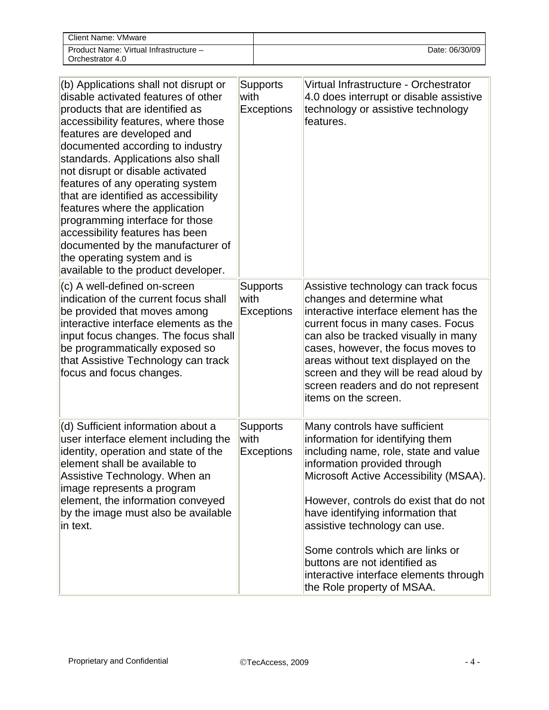| Client Name: VMware                                        |                |
|------------------------------------------------------------|----------------|
| Product Name: Virtual Infrastructure -<br>Orchestrator 4.0 | Date: 06/30/09 |

| (b) Applications shall not disrupt or<br>disable activated features of other<br>products that are identified as<br>accessibility features, where those<br>features are developed and<br>documented according to industry<br>standards. Applications also shall<br>not disrupt or disable activated<br>features of any operating system<br>that are identified as accessibility<br>features where the application<br>programming interface for those<br>accessibility features has been<br>documented by the manufacturer of<br>the operating system and is<br>available to the product developer. | <b>Supports</b><br>with<br>Exceptions        | Virtual Infrastructure - Orchestrator<br>4.0 does interrupt or disable assistive<br>technology or assistive technology<br>features.                                                                                                                                                                                                                                                                                                               |
|---------------------------------------------------------------------------------------------------------------------------------------------------------------------------------------------------------------------------------------------------------------------------------------------------------------------------------------------------------------------------------------------------------------------------------------------------------------------------------------------------------------------------------------------------------------------------------------------------|----------------------------------------------|---------------------------------------------------------------------------------------------------------------------------------------------------------------------------------------------------------------------------------------------------------------------------------------------------------------------------------------------------------------------------------------------------------------------------------------------------|
| (c) A well-defined on-screen<br>indication of the current focus shall<br>be provided that moves among<br>interactive interface elements as the<br>input focus changes. The focus shall<br>be programmatically exposed so<br>that Assistive Technology can track<br>focus and focus changes.                                                                                                                                                                                                                                                                                                       | <b>Supports</b><br>with<br><b>Exceptions</b> | Assistive technology can track focus<br>changes and determine what<br>interactive interface element has the<br>current focus in many cases. Focus<br>can also be tracked visually in many<br>cases, however, the focus moves to<br>areas without text displayed on the<br>screen and they will be read aloud by<br>screen readers and do not represent<br>items on the screen.                                                                    |
| (d) Sufficient information about a<br>user interface element including the<br>identity, operation and state of the<br>element shall be available to<br>Assistive Technology. When an<br>image represents a program<br>element, the information conveyed<br>by the image must also be available<br>in text.                                                                                                                                                                                                                                                                                        | <b>Supports</b><br>with<br><b>Exceptions</b> | Many controls have sufficient<br>information for identifying them<br>including name, role, state and value<br>information provided through<br>Microsoft Active Accessibility (MSAA).<br>However, controls do exist that do not<br>have identifying information that<br>assistive technology can use.<br>Some controls which are links or<br>buttons are not identified as<br>interactive interface elements through<br>the Role property of MSAA. |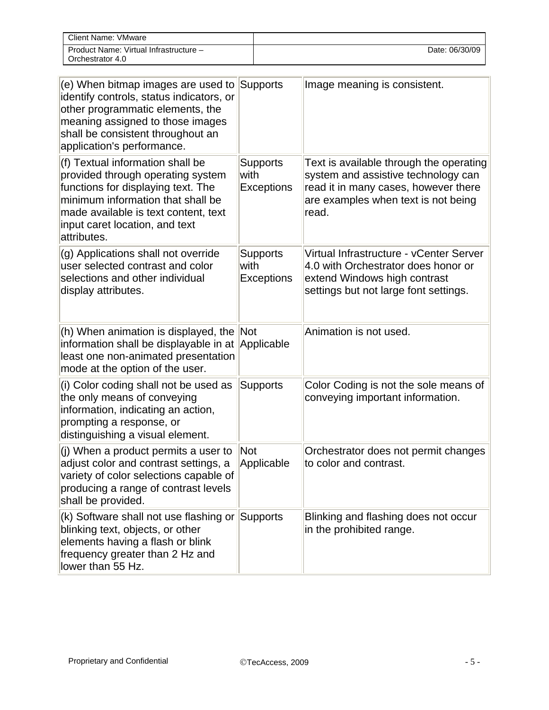| Client Name: VMware                                        |                |
|------------------------------------------------------------|----------------|
| Product Name: Virtual Infrastructure -<br>Orchestrator 4.0 | Date: 06/30/09 |

| (e) When bitmap images are used to<br>identify controls, status indicators, or<br>other programmatic elements, the<br>meaning assigned to those images<br>shall be consistent throughout an<br>application's performance.                 | <b>Supports</b>                              | Image meaning is consistent.                                                                                                                                           |
|-------------------------------------------------------------------------------------------------------------------------------------------------------------------------------------------------------------------------------------------|----------------------------------------------|------------------------------------------------------------------------------------------------------------------------------------------------------------------------|
| (f) Textual information shall be<br>provided through operating system<br>functions for displaying text. The<br>minimum information that shall be<br>made available is text content, text<br>input caret location, and text<br>attributes. | <b>Supports</b><br>with<br><b>Exceptions</b> | Text is available through the operating<br>system and assistive technology can<br>read it in many cases, however there<br>are examples when text is not being<br>read. |
| (g) Applications shall not override<br>user selected contrast and color<br>selections and other individual<br>display attributes.                                                                                                         | <b>Supports</b><br>with<br><b>Exceptions</b> | Virtual Infrastructure - vCenter Server<br>4.0 with Orchestrator does honor or<br>extend Windows high contrast<br>settings but not large font settings.                |
| (h) When animation is displayed, the Not<br>information shall be displayable in at Applicable<br>least one non-animated presentation<br>mode at the option of the user.                                                                   |                                              | Animation is not used.                                                                                                                                                 |
| (i) Color coding shall not be used as<br>the only means of conveying<br>information, indicating an action,<br>prompting a response, or<br>distinguishing a visual element.                                                                | <b>Supports</b>                              | Color Coding is not the sole means of<br>conveying important information.                                                                                              |
| (j) When a product permits a user to<br>adjust color and contrast settings, a<br>variety of color selections capable of<br>producing a range of contrast levels<br>shall be provided.                                                     | Not<br>Applicable                            | Orchestrator does not permit changes<br>to color and contrast.                                                                                                         |
| (k) Software shall not use flashing or<br>blinking text, objects, or other<br>elements having a flash or blink<br>frequency greater than 2 Hz and<br>lower than 55 Hz.                                                                    | Supports                                     | Blinking and flashing does not occur<br>in the prohibited range.                                                                                                       |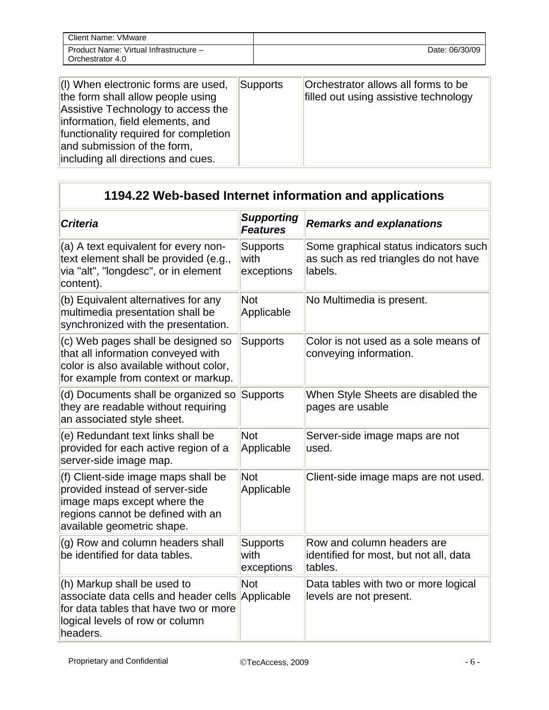| Client Name: VMware                                        |                |
|------------------------------------------------------------|----------------|
| Product Name: Virtual Infrastructure -<br>Orchestrator 4.0 | Date: 06/30/09 |

| (I) When electronic forms are used,<br>the form shall allow people using<br>Assistive Technology to access the<br>information, field elements, and<br>functionality required for completion<br>and submission of the form,<br>including all directions and cues. | Supports | Orchestrator allows all forms to be<br>filled out using assistive technology |
|------------------------------------------------------------------------------------------------------------------------------------------------------------------------------------------------------------------------------------------------------------------|----------|------------------------------------------------------------------------------|
|                                                                                                                                                                                                                                                                  |          |                                                                              |

| 1194.22 Web-based Internet information and applications                                                                                                                  |                                       |                                                                                          |
|--------------------------------------------------------------------------------------------------------------------------------------------------------------------------|---------------------------------------|------------------------------------------------------------------------------------------|
| <b>Criteria</b>                                                                                                                                                          | <b>Supporting</b><br><b>Features</b>  | <b>Remarks and explanations</b>                                                          |
| (a) A text equivalent for every non-<br>text element shall be provided (e.g.,<br>via "alt", "longdesc", or in element<br>content).                                       | <b>Supports</b><br>with<br>exceptions | Some graphical status indicators such<br>as such as red triangles do not have<br>labels. |
| (b) Equivalent alternatives for any<br>multimedia presentation shall be<br>synchronized with the presentation.                                                           | <b>Not</b><br>Applicable              | No Multimedia is present.                                                                |
| (c) Web pages shall be designed so<br>that all information conveyed with<br>color is also available without color,<br>for example from context or markup.                | <b>Supports</b>                       | Color is not used as a sole means of<br>conveying information.                           |
| (d) Documents shall be organized so<br>they are readable without requiring<br>an associated style sheet.                                                                 | <b>Supports</b>                       | When Style Sheets are disabled the<br>pages are usable                                   |
| (e) Redundant text links shall be<br>provided for each active region of a<br>server-side image map.                                                                      | <b>Not</b><br>Applicable              | Server-side image maps are not<br>used.                                                  |
| (f) Client-side image maps shall be<br>provided instead of server-side<br>image maps except where the<br>regions cannot be defined with an<br>available geometric shape. | Not<br>Applicable                     | Client-side image maps are not used.                                                     |
| (g) Row and column headers shall<br>be identified for data tables.                                                                                                       | <b>Supports</b><br>with<br>exceptions | Row and column headers are<br>identified for most, but not all, data<br>tables.          |
| (h) Markup shall be used to<br>associate data cells and header cells<br>for data tables that have two or more<br>logical levels of row or column<br>headers.             | <b>Not</b><br>Applicable              | Data tables with two or more logical<br>levels are not present.                          |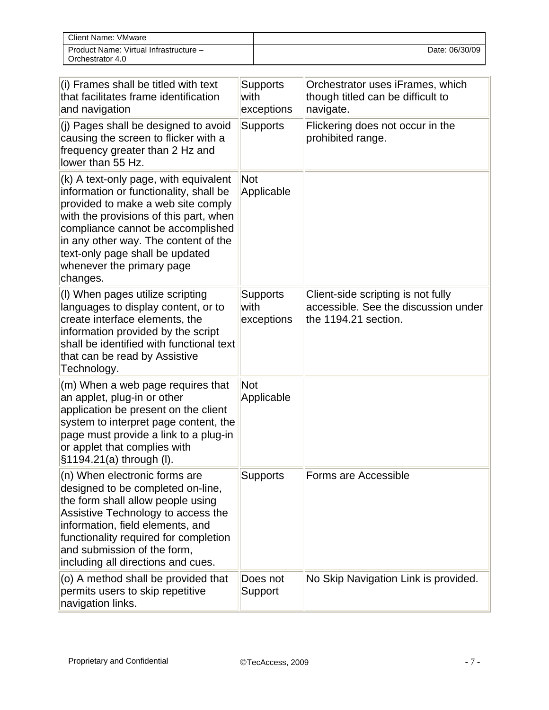| Client Name: VMware                                        |                |
|------------------------------------------------------------|----------------|
| Product Name: Virtual Infrastructure -<br>Orchestrator 4.0 | Date: 06/30/09 |

| (i) Frames shall be titled with text<br>that facilitates frame identification<br>and navigation                                                                                                                                                                                                                          | <b>Supports</b><br>with<br>exceptions | Orchestrator uses iFrames, which<br>though titled can be difficult to<br>navigate.                 |
|--------------------------------------------------------------------------------------------------------------------------------------------------------------------------------------------------------------------------------------------------------------------------------------------------------------------------|---------------------------------------|----------------------------------------------------------------------------------------------------|
| (i) Pages shall be designed to avoid<br>causing the screen to flicker with a<br>frequency greater than 2 Hz and<br>lower than 55 Hz.                                                                                                                                                                                     | <b>Supports</b>                       | Flickering does not occur in the<br>prohibited range.                                              |
| (k) A text-only page, with equivalent<br>information or functionality, shall be<br>provided to make a web site comply<br>with the provisions of this part, when<br>compliance cannot be accomplished<br>in any other way. The content of the<br>text-only page shall be updated<br>whenever the primary page<br>changes. | Not<br>Applicable                     |                                                                                                    |
| (I) When pages utilize scripting<br>languages to display content, or to<br>create interface elements, the<br>information provided by the script<br>shall be identified with functional text<br>that can be read by Assistive<br>Technology.                                                                              | <b>Supports</b><br>with<br>exceptions | Client-side scripting is not fully<br>accessible. See the discussion under<br>the 1194.21 section. |
| (m) When a web page requires that<br>an applet, plug-in or other<br>application be present on the client<br>system to interpret page content, the<br>page must provide a link to a plug-in<br>or applet that complies with<br>§1194.21(a) through (I).                                                                   | Not<br>Applicable                     |                                                                                                    |
| (n) When electronic forms are<br>designed to be completed on-line,<br>the form shall allow people using<br>Assistive Technology to access the<br>information, field elements, and<br>functionality required for completion<br>and submission of the form,<br>including all directions and cues.                          | Supports                              | Forms are Accessible                                                                               |
| (o) A method shall be provided that<br>permits users to skip repetitive<br>navigation links.                                                                                                                                                                                                                             | Does not<br>Support                   | No Skip Navigation Link is provided.                                                               |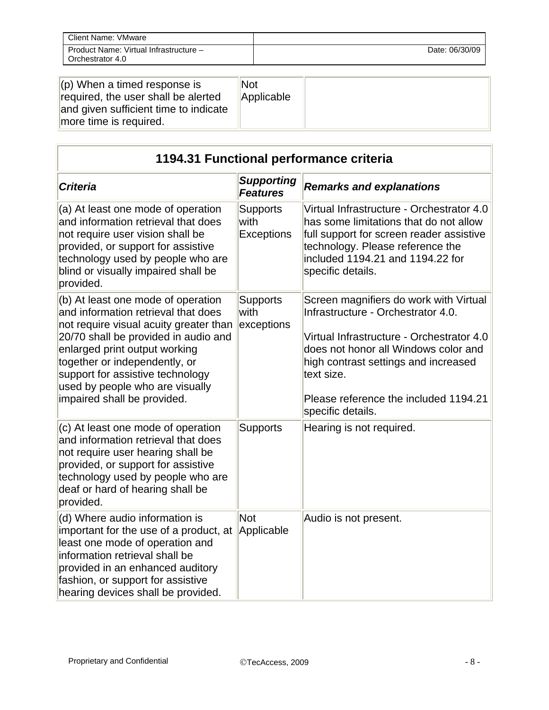| Client Name: VMware                                        |                |
|------------------------------------------------------------|----------------|
| Product Name: Virtual Infrastructure -<br>Orchestrator 4.0 | Date: 06/30/09 |

| $\vert$ (p) When a timed response is<br>required, the user shall be alerted<br>and given sufficient time to indicate<br>more time is required. | Not<br>Applicable |  |
|------------------------------------------------------------------------------------------------------------------------------------------------|-------------------|--|
|------------------------------------------------------------------------------------------------------------------------------------------------|-------------------|--|

| 1194.31 Functional performance criteria                                                                                                                                                                                                                                                                                             |                                       |                                                                                                                                                                                                                                                                                       |
|-------------------------------------------------------------------------------------------------------------------------------------------------------------------------------------------------------------------------------------------------------------------------------------------------------------------------------------|---------------------------------------|---------------------------------------------------------------------------------------------------------------------------------------------------------------------------------------------------------------------------------------------------------------------------------------|
| <b>Criteria</b>                                                                                                                                                                                                                                                                                                                     | <b>Supporting</b><br><b>Features</b>  | <b>Remarks and explanations</b>                                                                                                                                                                                                                                                       |
| (a) At least one mode of operation<br>and information retrieval that does<br>not require user vision shall be<br>provided, or support for assistive<br>technology used by people who are<br>blind or visually impaired shall be<br>provided.                                                                                        | <b>Supports</b><br>with<br>Exceptions | Virtual Infrastructure - Orchestrator 4.0<br>has some limitations that do not allow<br>full support for screen reader assistive<br>technology. Please reference the<br>included 1194.21 and 1194.22 for<br>specific details.                                                          |
| (b) At least one mode of operation<br>and information retrieval that does<br>not require visual acuity greater than<br>20/70 shall be provided in audio and<br>enlarged print output working<br>together or independently, or<br>support for assistive technology<br>used by people who are visually<br>impaired shall be provided. | <b>Supports</b><br>with<br>exceptions | Screen magnifiers do work with Virtual<br>Infrastructure - Orchestrator 4.0.<br>Virtual Infrastructure - Orchestrator 4.0<br>does not honor all Windows color and<br>high contrast settings and increased<br>text size.<br>Please reference the included 1194.21<br>specific details. |
| (c) At least one mode of operation<br>and information retrieval that does<br>not require user hearing shall be<br>provided, or support for assistive<br>technology used by people who are<br>deaf or hard of hearing shall be<br>provided.                                                                                          | <b>Supports</b>                       | Hearing is not required.                                                                                                                                                                                                                                                              |
| (d) Where audio information is<br>important for the use of a product, at<br>least one mode of operation and<br>information retrieval shall be<br>provided in an enhanced auditory<br>fashion, or support for assistive<br>hearing devices shall be provided.                                                                        | <b>Not</b><br>Applicable              | Audio is not present.                                                                                                                                                                                                                                                                 |

 $\overline{\phantom{0}}$